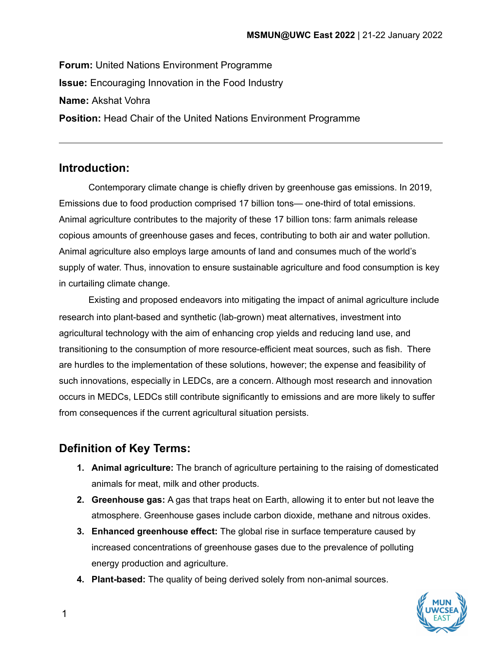**Forum:** United Nations Environment Programme **Issue:** Encouraging Innovation in the Food Industry **Name:** Akshat Vohra **Position:** Head Chair of the United Nations Environment Programme

# **Introduction:**

Contemporary climate change is chiefly driven by greenhouse gas emissions. In 2019, Emissions due to food production comprised 17 billion tons— one-third of total emissions. Animal agriculture contributes to the majority of these 17 billion tons: farm animals release copious amounts of greenhouse gases and feces, contributing to both air and water pollution. Animal agriculture also employs large amounts of land and consumes much of the world's supply of water. Thus, innovation to ensure sustainable agriculture and food consumption is key in curtailing climate change.

Existing and proposed endeavors into mitigating the impact of animal agriculture include research into plant-based and synthetic (lab-grown) meat alternatives, investment into agricultural technology with the aim of enhancing crop yields and reducing land use, and transitioning to the consumption of more resource-efficient meat sources, such as fish. There are hurdles to the implementation of these solutions, however; the expense and feasibility of such innovations, especially in LEDCs, are a concern. Although most research and innovation occurs in MEDCs, LEDCs still contribute significantly to emissions and are more likely to suffer from consequences if the current agricultural situation persists.

# **Definition of Key Terms:**

- **1. Animal agriculture:** The branch of agriculture pertaining to the raising of domesticated animals for meat, milk and other products.
- **2. Greenhouse gas:** A gas that traps heat on Earth, allowing it to enter but not leave the atmosphere. Greenhouse gases include carbon dioxide, methane and nitrous oxides.
- **3. Enhanced greenhouse effect:** The global rise in surface temperature caused by increased concentrations of greenhouse gases due to the prevalence of polluting energy production and agriculture.
- **4. Plant-based:** The quality of being derived solely from non-animal sources.

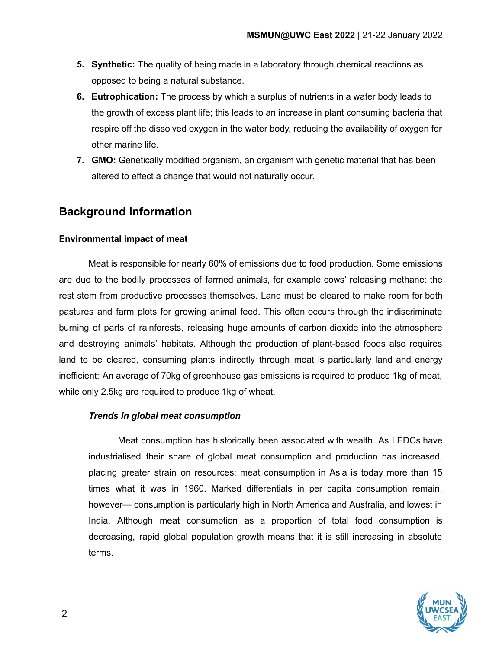- **5. Synthetic:** The quality of being made in a laboratory through chemical reactions as opposed to being a natural substance.
- **6. Eutrophication:** The process by which a surplus of nutrients in a water body leads to the growth of excess plant life; this leads to an increase in plant consuming bacteria that respire off the dissolved oxygen in the water body, reducing the availability of oxygen for other marine life.
- **7. GMO:** Genetically modified organism, an organism with genetic material that has been altered to effect a change that would not naturally occur.

# **Background Information**

## **Environmental impact of meat**

Meat is responsible for nearly 60% of emissions due to food production. Some emissions are due to the bodily processes of farmed animals, for example cows' releasing methane: the rest stem from productive processes themselves. Land must be cleared to make room for both pastures and farm plots for growing animal feed. This often occurs through the indiscriminate burning of parts of rainforests, releasing huge amounts of carbon dioxide into the atmosphere and destroying animals' habitats. Although the production of plant-based foods also requires land to be cleared, consuming plants indirectly through meat is particularly land and energy inefficient: An average of 70kg of greenhouse gas emissions is required to produce 1kg of meat, while only 2.5kg are required to produce 1kg of wheat.

## *Trends in global meat consumption*

Meat consumption has historically been associated with wealth. As LEDCs have industrialised their share of global meat consumption and production has increased, placing greater strain on resources; meat consumption in Asia is today more than 15 times what it was in 1960. Marked differentials in per capita consumption remain, however— consumption is particularly high in North America and Australia, and lowest in India. Although meat consumption as a proportion of total food consumption is decreasing, rapid global population growth means that it is still increasing in absolute terms.

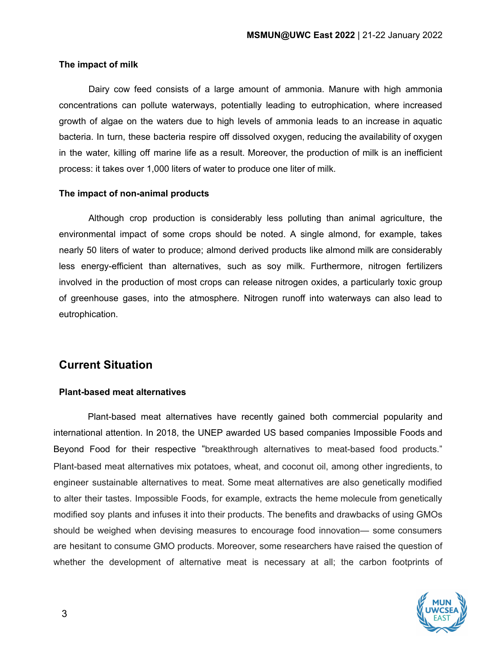## **The impact of milk**

Dairy cow feed consists of a large amount of ammonia. Manure with high ammonia concentrations can pollute waterways, potentially leading to eutrophication, where increased growth of algae on the waters due to high levels of ammonia leads to an increase in aquatic bacteria. In turn, these bacteria respire off dissolved oxygen, reducing the availability of oxygen in the water, killing off marine life as a result. Moreover, the production of milk is an inefficient process: it takes over 1,000 liters of water to produce one liter of milk.

### **The impact of non-animal products**

Although crop production is considerably less polluting than animal agriculture, the environmental impact of some crops should be noted. A single almond, for example, takes nearly 50 liters of water to produce; almond derived products like almond milk are considerably less energy-efficient than alternatives, such as soy milk. Furthermore, nitrogen fertilizers involved in the production of most crops can release nitrogen oxides, a particularly toxic group of greenhouse gases, into the atmosphere. Nitrogen runoff into waterways can also lead to eutrophication.

# **Current Situation**

## **Plant-based meat alternatives**

Plant-based meat alternatives have recently gained both commercial popularity and international attention. In 2018, the UNEP awarded US based companies Impossible Foods and Beyond Food for their respective "breakthrough alternatives to meat-based food products." Plant-based meat alternatives mix potatoes, wheat, and coconut oil, among other ingredients, to engineer sustainable alternatives to meat. Some meat alternatives are also genetically modified to alter their tastes. Impossible Foods, for example, extracts the heme molecule from genetically modified soy plants and infuses it into their products. The benefits and drawbacks of using GMOs should be weighed when devising measures to encourage food innovation— some consumers are hesitant to consume GMO products. Moreover, some researchers have raised the question of whether the development of alternative meat is necessary at all; the carbon footprints of

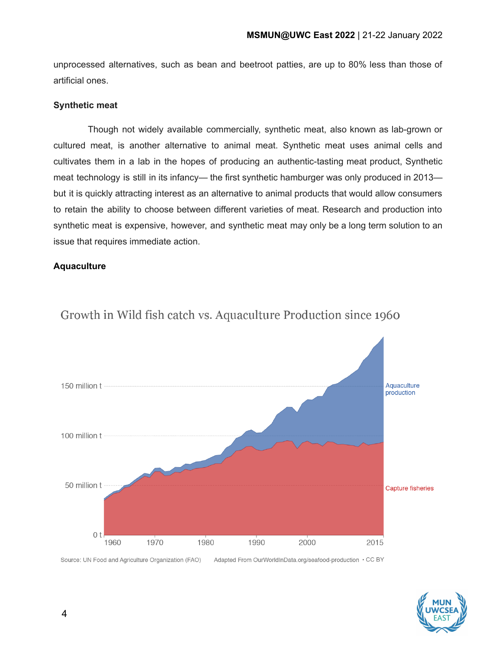unprocessed alternatives, such as bean and beetroot patties, are up to 80% less than those of artificial ones.

## **Synthetic meat**

Though not widely available commercially, synthetic meat, also known as lab-grown or cultured meat, is another alternative to animal meat. Synthetic meat uses animal cells and cultivates them in a lab in the hopes of producing an authentic-tasting meat product, Synthetic meat technology is still in its infancy— the first synthetic hamburger was only produced in 2013 but it is quickly attracting interest as an alternative to animal products that would allow consumers to retain the ability to choose between different varieties of meat. Research and production into synthetic meat is expensive, however, and synthetic meat may only be a long term solution to an issue that requires immediate action.

## **Aquaculture**



# Growth in Wild fish catch vs. Aquaculture Production since 1960

Source: UN Food and Agriculture Organization (FAO) Adapted From OurWorldInData.org/seafood-production . CC BY

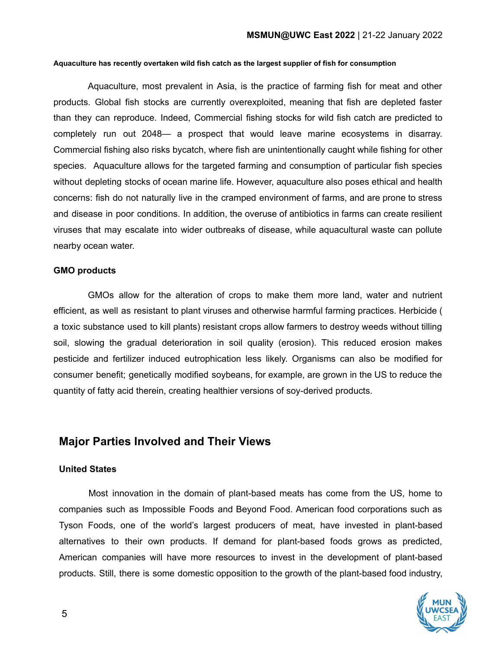#### **Aquaculture has recently overtaken wild fish catch as the largest supplier of fish for consumption**

Aquaculture, most prevalent in Asia, is the practice of farming fish for meat and other products. Global fish stocks are currently overexploited, meaning that fish are depleted faster than they can reproduce. Indeed, Commercial fishing stocks for wild fish catch are predicted to completely run out 2048— a prospect that would leave marine ecosystems in disarray. Commercial fishing also risks bycatch, where fish are unintentionally caught while fishing for other species. Aquaculture allows for the targeted farming and consumption of particular fish species without depleting stocks of ocean marine life. However, aquaculture also poses ethical and health concerns: fish do not naturally live in the cramped environment of farms, and are prone to stress and disease in poor conditions. In addition, the overuse of antibiotics in farms can create resilient viruses that may escalate into wider outbreaks of disease, while aquacultural waste can pollute nearby ocean water.

### **GMO products**

GMOs allow for the alteration of crops to make them more land, water and nutrient efficient, as well as resistant to plant viruses and otherwise harmful farming practices. Herbicide ( a toxic substance used to kill plants) resistant crops allow farmers to destroy weeds without tilling soil, slowing the gradual deterioration in soil quality (erosion). This reduced erosion makes pesticide and fertilizer induced eutrophication less likely. Organisms can also be modified for consumer benefit; genetically modified soybeans, for example, are grown in the US to reduce the quantity of fatty acid therein, creating healthier versions of soy-derived products.

## **Major Parties Involved and Their Views**

### **United States**

Most innovation in the domain of plant-based meats has come from the US, home to companies such as Impossible Foods and Beyond Food. American food corporations such as Tyson Foods, one of the world's largest producers of meat, have invested in plant-based alternatives to their own products. If demand for plant-based foods grows as predicted, American companies will have more resources to invest in the development of plant-based products. Still, there is some domestic opposition to the growth of the plant-based food industry,

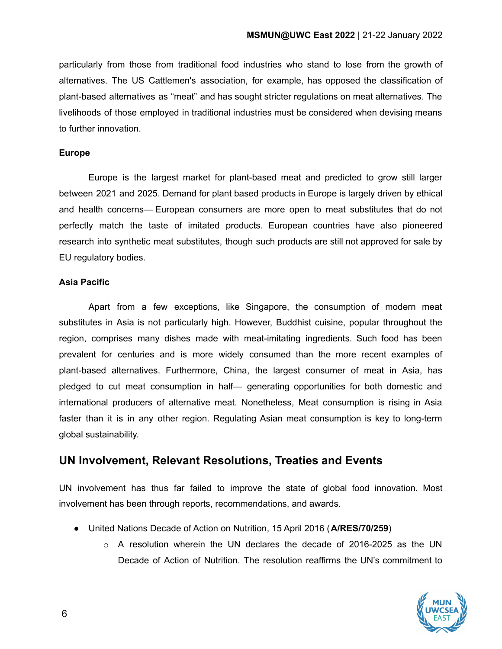particularly from those from traditional food industries who stand to lose from the growth of alternatives. The US Cattlemen's association, for example, has opposed the classification of plant-based alternatives as "meat" and has sought stricter regulations on meat alternatives. The livelihoods of those employed in traditional industries must be considered when devising means to further innovation.

## **Europe**

Europe is the largest market for plant-based meat and predicted to grow still larger between 2021 and 2025. Demand for plant based products in Europe is largely driven by ethical and health concerns— European consumers are more open to meat substitutes that do not perfectly match the taste of imitated products. European countries have also pioneered research into synthetic meat substitutes, though such products are still not approved for sale by EU regulatory bodies.

## **Asia Pacific**

Apart from a few exceptions, like Singapore, the consumption of modern meat substitutes in Asia is not particularly high. However, Buddhist cuisine, popular throughout the region, comprises many dishes made with meat-imitating ingredients. Such food has been prevalent for centuries and is more widely consumed than the more recent examples of plant-based alternatives. Furthermore, China, the largest consumer of meat in Asia, has pledged to cut meat consumption in half— generating opportunities for both domestic and international producers of alternative meat. Nonetheless, Meat consumption is rising in Asia faster than it is in any other region. Regulating Asian meat consumption is key to long-term global sustainability.

## **UN Involvement, Relevant Resolutions, Treaties and Events**

UN involvement has thus far failed to improve the state of global food innovation. Most involvement has been through reports, recommendations, and awards.

- United Nations Decade of Action on Nutrition, 15 April 2016 (**A/RES/70/259**)
	- $\circ$  A resolution wherein the UN declares the decade of 2016-2025 as the UN Decade of Action of Nutrition. The resolution reaffirms the UN's commitment to

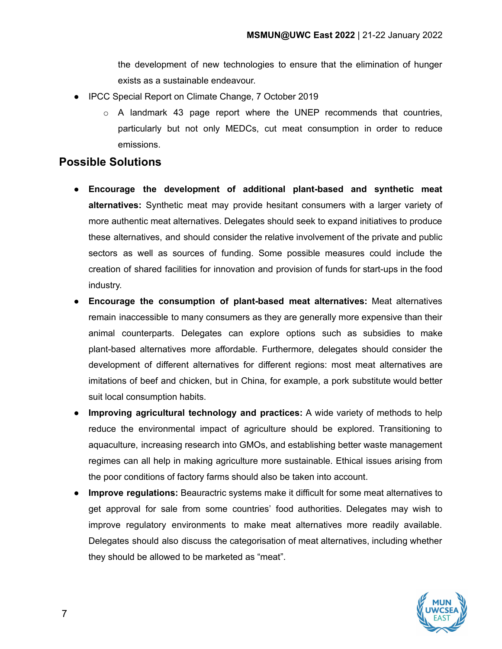the development of new technologies to ensure that the elimination of hunger exists as a sustainable endeavour.

- IPCC Special Report on Climate Change, 7 October 2019
	- o A landmark 43 page report where the UNEP recommends that countries, particularly but not only MEDCs, cut meat consumption in order to reduce emissions.

## **Possible Solutions**

- **● Encourage the development of additional plant-based and synthetic meat alternatives:** Synthetic meat may provide hesitant consumers with a larger variety of more authentic meat alternatives. Delegates should seek to expand initiatives to produce these alternatives, and should consider the relative involvement of the private and public sectors as well as sources of funding. Some possible measures could include the creation of shared facilities for innovation and provision of funds for start-ups in the food industry.
- **● Encourage the consumption of plant-based meat alternatives:** Meat alternatives remain inaccessible to many consumers as they are generally more expensive than their animal counterparts. Delegates can explore options such as subsidies to make plant-based alternatives more affordable. Furthermore, delegates should consider the development of different alternatives for different regions: most meat alternatives are imitations of beef and chicken, but in China, for example, a pork substitute would better suit local consumption habits.
- **● Improving agricultural technology and practices:** A wide variety of methods to help reduce the environmental impact of agriculture should be explored. Transitioning to aquaculture, increasing research into GMOs, and establishing better waste management regimes can all help in making agriculture more sustainable. Ethical issues arising from the poor conditions of factory farms should also be taken into account.
- **Improve regulations:** Beauractric systems make it difficult for some meat alternatives to get approval for sale from some countries' food authorities. Delegates may wish to improve regulatory environments to make meat alternatives more readily available. Delegates should also discuss the categorisation of meat alternatives, including whether they should be allowed to be marketed as "meat".

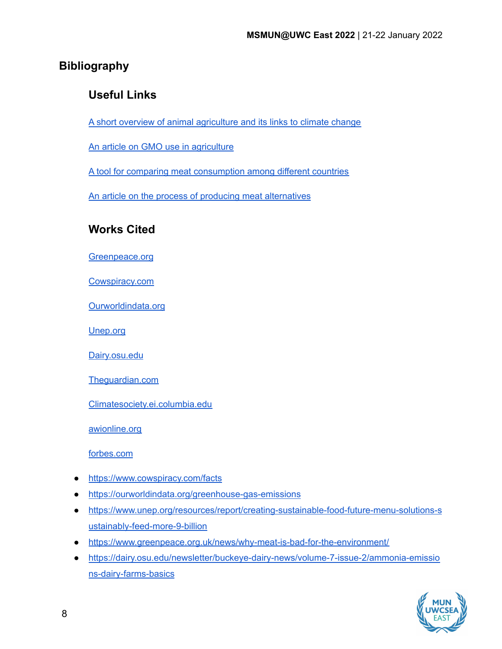# **Bibliography**

# **Useful Links**

A short overview of animal [agriculture](https://www.peta.org/features/climate-crisis-animal-agriculture-explained/) and its links to climate change

An article on GMO use in [agriculture](https://www.fda.gov/food/agricultural-biotechnology/how-gmo-crops-impact-our-world)

A tool for comparing meat [consumption](https://ourworldindata.org/meat-production) among different countries

An article on the process of producing meat [alternatives](https://www.treehugger.com/how-fake-meat-is-made-4863880)

# **Works Cited**

[Greenpeace.org](https://www.greenpeace.org/international/)

[Cowspiracy.com](https://www.cowspiracy.com/)

[Ourworldindata.org](https://ourworldindata.org/)

[Unep.org](https://www.unep.org/)

[Dairy.osu.edu](https://dairy.osu.edu/)

[Theguardian.com](https://www.theguardian.com/)

[Climatesociety.ei.columbia.edu](https://climatesociety.ei.columbia.edu/)

[awionline.org](https://awionline.org/)

[forbes.com](https://www.forbes.com/)

- <https://www.cowspiracy.com/facts>
- <https://ourworldindata.org/greenhouse-gas-emissions>
- [https://www.unep.org/resources/report/creating-sustainable-food-future-menu-solutions-s](https://www.unep.org/resources/report/creating-sustainable-food-future-menu-solutions-sustainably-feed-more-9-billion) [ustainably-feed-more-9-billion](https://www.unep.org/resources/report/creating-sustainable-food-future-menu-solutions-sustainably-feed-more-9-billion)
- <https://www.greenpeace.org.uk/news/why-meat-is-bad-for-the-environment/>
- [https://dairy.osu.edu/newsletter/buckeye-dairy-news/volume-7-issue-2/ammonia-emissio](https://dairy.osu.edu/newsletter/buckeye-dairy-news/volume-7-issue-2/ammonia-emissions-dairy-farms-basics) [ns-dairy-farms-basics](https://dairy.osu.edu/newsletter/buckeye-dairy-news/volume-7-issue-2/ammonia-emissions-dairy-farms-basics)